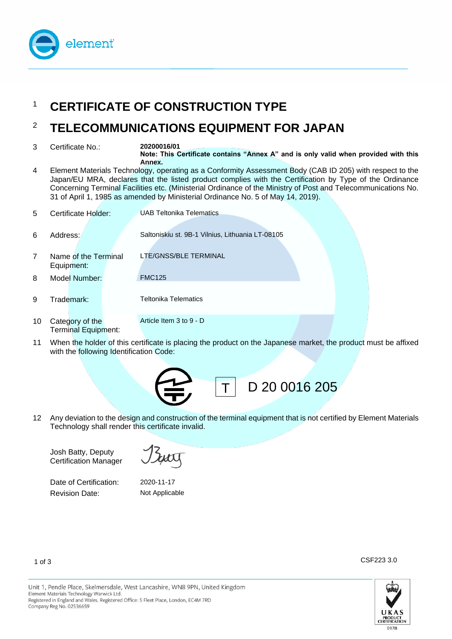

# <sup>1</sup> CERTIFICATE OF CONSTRUCTION TYPE

## <sup>2</sup> **TELECOMMUNICATIONS EQUIPMENT FOR JAPAN**

3 Certificate No.: **20200016/01**

**Note: This Certificate contains "Annex A" and is only valid when provided with this Annex.**

4 Element Materials Technology, operating as a Conformity Assessment Body (CAB ID 205) with respect to the Japan/EU MRA, declares that the listed product complies with the Certification by Type of the Ordinance Concerning Terminal Facilities etc. (Ministerial Ordinance of the Ministry of Post and Telecommunications No. 31 of April 1, 1985 as amended by Ministerial Ordinance No. 5 of May 14, 2019).

| 5. | Certificate Holder:                           | <b>UAB Teltonika Telematics</b>                  |
|----|-----------------------------------------------|--------------------------------------------------|
| 6  | Address:                                      | Saltoniskiu st. 9B-1 Vilnius, Lithuania LT-08105 |
| 7  | Name of the Terminal<br>Equipment:            | LTE/GNSS/BLE TERMINAL                            |
| 8  | Model Number:                                 | <b>FMC125</b>                                    |
| 9  | Trademark:                                    | <b>Teltonika Telematics</b>                      |
| 10 | Category of the<br><b>Terminal Equipment:</b> | Article Item 3 to 9 - D                          |

11 When the holder of this certificate is placing the product on the Japanese market, the product must be affixed with the following Identification Code:



12 Any deviation to the design and construction of the terminal equipment that is not certified by Element Materials Technology shall render this certificate invalid.

Josh Batty, Deputy Certification Manager

Date of Certification: 2020-11-17 Revision Date: Not Applicable



1 of 3

CSF223 3.0

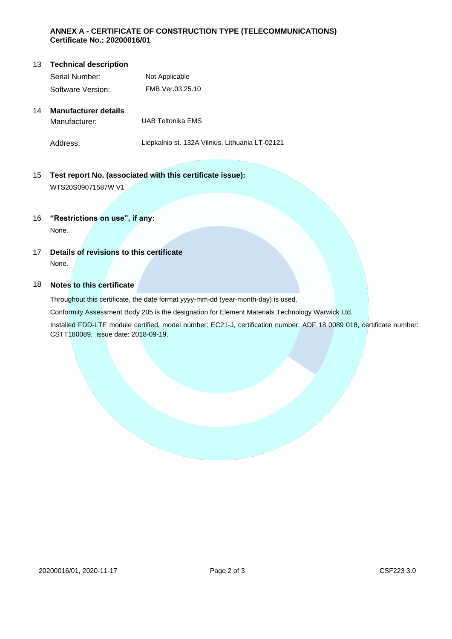#### **ANNEX A - CERTIFICATE OF CONSTRUCTION TYPE (TELECOMMUNICATIONS) Certificate No.: 20200016/01**

#### **13** Technical description Serial Number: Not Applicable Software Version: FMB.Ver.03.25.10

### 14 **Manufacturer details** Manufacturer: UAB Teltonika EMS

Address: Liepkalnio st. 132A Vilnius, Lithuania LT-02121

#### 15 **Test report No. (associated with this certificate issue):** WTS20S09071587W V1

#### 16 **"Restrictions on use", if any:**

None.

17 **Details of revisions to this certificate** None.

#### 18 **Notes to this certificate**

Throughout this certificate, the date format yyyy-mm-dd (year-month-day) is used.

Conformity Assessment Body 205 is the designation for Element Materials Technology Warwick Ltd.

Installed FDD-LTE module certified, model number: EC21-J, certification number: ADF 18 0089 018, certificate number: CSTT180089, issue date: 2018-09-19.